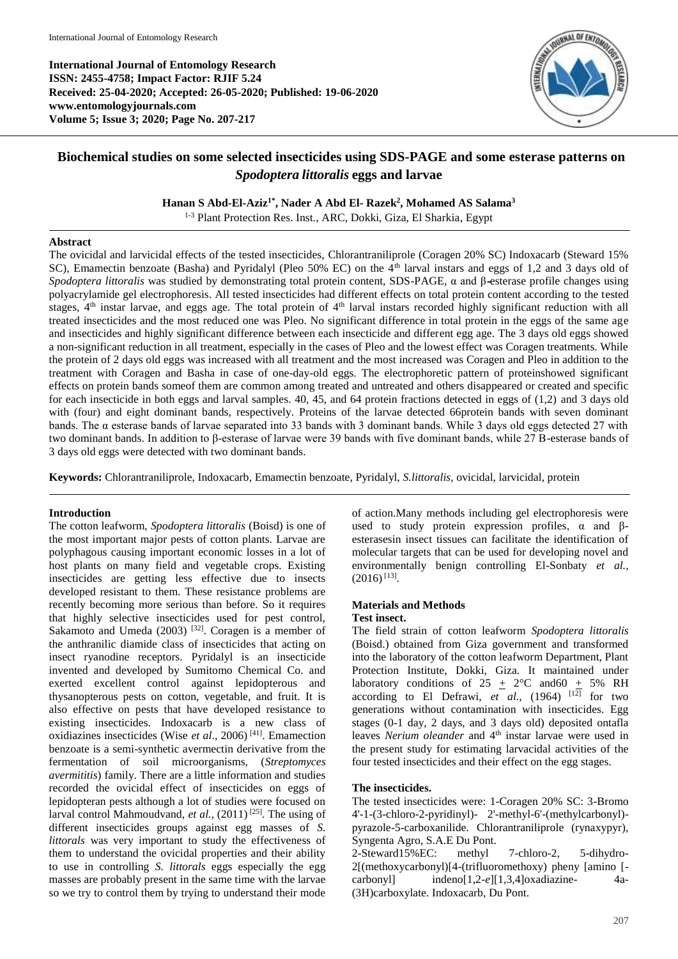**International Journal of Entomology Research ISSN: 2455-4758; Impact Factor: RJIF 5.24 Received: 25-04-2020; Accepted: 26-05-2020; Published: 19-06-2020 www.entomologyjournals.com Volume 5; Issue 3; 2020; Page No. 207-217**



# **Biochemical studies on some selected insecticides using SDS-PAGE and some esterase patterns on**  *Spodoptera littoralis* **eggs and larvae**

**Hanan S Abd-El-Aziz1\* , Nader A Abd El- Razek<sup>2</sup> , Mohamed AS Salama<sup>3</sup>**

1-3 Plant Protection Res. Inst., ARC, Dokki, Giza, El Sharkia, Egypt

#### **Abstract**

The ovicidal and larvicidal effects of the tested insecticides, Chlorantraniliprole (Coragen 20% SC) Indoxacarb (Steward 15% SC), Emamectin benzoate (Basha) and Pyridalyl (Pleo 50% EC) on the 4<sup>th</sup> larval instars and eggs of 1,2 and 3 days old of *Spodoptera littoralis* was studied by demonstrating total protein content, SDS-PAGE, α and β**-**esterase profile changes using polyacrylamide gel electrophoresis. All tested insecticides had different effects on total protein content according to the tested stages,  $4<sup>th</sup>$  instar larvae, and eggs age. The total protein of  $4<sup>th</sup>$  larval instars recorded highly significant reduction with all treated insecticides and the most reduced one was Pleo. No significant difference in total protein in the eggs of the same age and insecticides and highly significant difference between each insecticide and different egg age. The 3 days old eggs showed a non-significant reduction in all treatment, especially in the cases of Pleo and the lowest effect was Coragen treatments. While the protein of 2 days old eggs was increased with all treatment and the most increased was Coragen and Pleo in addition to the treatment with Coragen and Basha in case of one-day-old eggs. The electrophoretic pattern of proteinshowed significant effects on protein bands someof them are common among treated and untreated and others disappeared or created and specific for each insecticide in both eggs and larval samples. 40, 45, and 64 protein fractions detected in eggs of (1,2) and 3 days old with (four) and eight dominant bands, respectively. Proteins of the larvae detected 66protein bands with seven dominant bands. The α esterase bands of larvae separated into 33 bands with 3 dominant bands. While 3 days old eggs detected 27 with two dominant bands. In addition to β-esterase of larvae were 39 bands with five dominant bands, while 27 Β-esterase bands of 3 days old eggs were detected with two dominant bands.

**Keywords:** Chlorantraniliprole, Indoxacarb*,* Emamectin benzoate, Pyridalyl, *S.littoralis*, ovicidal, larvicidal, protein

## **Introduction**

The cotton leafworm, *Spodoptera littoralis* (Boisd) is one of the most important major pests of cotton plants. Larvae are polyphagous causing important economic losses in a lot of host plants on many field and vegetable crops. Existing insecticides are getting less effective due to insects developed resistant to them. These resistance problems are recently becoming more serious than before. So it requires that highly selective insecticides used for pest control, Sakamoto and Umeda (2003)<sup>[32]</sup>. Coragen is a member of the anthranilic diamide class of insecticides that acting on insect ryanodine receptors. Pyridalyl is an insecticide invented and developed by Sumitomo Chemical Co. and exerted excellent control against lepidopterous and thysanopterous pests on cotton, vegetable, and fruit. It is also effective on pests that have developed resistance to existing insecticides. Indoxacarb is a new class of oxidiazines insecticides (Wise *et al*., 2006) [41]. Emamection benzoate is a semi-synthetic avermectin derivative from the fermentation of soil microorganisms, (*Streptomyces avermititis*) family. There are a little information and studies recorded the ovicidal effect of insecticides on eggs of lepidopteran pests although a lot of studies were focused on larval control Mahmoudvand, *et al.*, (2011)<sup>[25]</sup>. The using of different insecticides groups against egg masses of *S. littorals* was very important to study the effectiveness of them to understand the ovicidal properties and their ability to use in controlling *S. littorals* eggs especially the egg masses are probably present in the same time with the larvae so we try to control them by trying to understand their mode

of action.Many methods including gel electrophoresis were used to study protein expression profiles,  $\alpha$  and  $\beta$ esterasesin insect tissues can facilitate the identification of molecular targets that can be used for developing novel and environmentally benign controlling El-Sonbaty *et al.,*  $(2016)^{[13]}$ .

## **Materials and Methods**

### **Test insect.**

The field strain of cotton leafworm *Spodoptera littoralis* (Boisd.) obtained from Giza government and transformed into the laboratory of the cotton leafworm Department, Plant Protection Institute, Dokki, Giza. It maintained under laboratory conditions of  $25 \pm 2$ °C and60  $\pm$  5% RH according to El Defrawi,  $e\overline{t}$  al., (1964)  $[12]$  for two generations without contamination with insecticides. Egg stages (0-1 day, 2 days, and 3 days old) deposited ontafla leaves *Nerium oleander* and 4<sup>th</sup> instar larvae were used in the present study for estimating larvacidal activities of the four tested insecticides and their effect on the egg stages.

#### **The insecticides.**

The tested insecticides were: 1-Coragen 20% SC: 3-Bromo 4'-1-(3-chloro-2-pyridinyl)- 2'-methyl-6'-(methylcarbonyl) pyrazole-5-carboxanilide. Chlorantraniliprole (rynaxypyr), Syngenta Agro, S.A.E Du Pont.

2-Steward15%EC: methyl 7-chloro-2, 5-dihydro-2[(methoxycarbonyl)[4-(trifluoromethoxy) pheny [amino [ carbonyl] indeno[1,2-*e*][1,3,4]oxadiazine- 4a- (3H)carboxylate. Indoxacarb, Du Pont.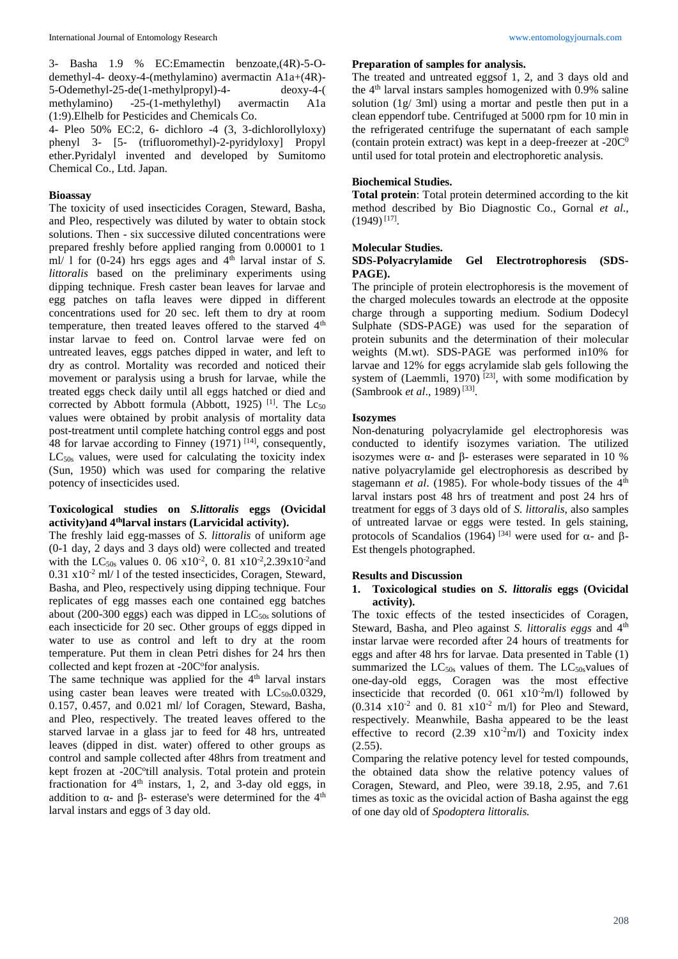phenyl 3- [5- (trifluoromethyl)-2-pyridyloxy] Propyl ether.Pyridalyl invented and developed by Sumitomo Chemical Co., Ltd. Japan.

#### **Bioassay**

The toxicity of used insecticides Coragen, Steward, Basha, and Pleo, respectively was diluted by water to obtain stock solutions. Then - six successive diluted concentrations were prepared freshly before applied ranging from 0.00001 to 1 ml/ 1 for  $(0-24)$  hrs eggs ages and  $4<sup>th</sup>$  larval instar of *S*. *littoralis* based on the preliminary experiments using dipping technique. Fresh caster bean leaves for larvae and egg patches on tafla leaves were dipped in different concentrations used for 20 sec. left them to dry at room temperature, then treated leaves offered to the starved 4<sup>th</sup> instar larvae to feed on. Control larvae were fed on untreated leaves, eggs patches dipped in water, and left to dry as control. Mortality was recorded and noticed their movement or paralysis using a brush for larvae, while the treated eggs check daily until all eggs hatched or died and corrected by Abbott formula (Abbott, 1925)<sup>[1]</sup>. The  $Lc_{50}$ values were obtained by probit analysis of mortality data post-treatment until complete hatching control eggs and post 48 for larvae according to Finney  $(1971)$  [14], consequently, LC<sub>50s</sub> values, were used for calculating the toxicity index (Sun, 1950) which was used for comparing the relative potency of insecticides used.

### **Toxicological studies on** *S.littoralis* **eggs (Ovicidal activity)and 4thlarval instars (Larvicidal activity).**

The freshly laid egg-masses of *S. littoralis* of uniform age (0-1 day, 2 days and 3 days old) were collected and treated with the LC<sub>50s</sub> values 0. 06  $x10^{-2}$ , 0. 81  $x10^{-2}$ , 2.39x10<sup>-2</sup> and  $0.31 \times 10^{-2}$  ml/ 1 of the tested insecticides, Coragen, Steward, Basha, and Pleo, respectively using dipping technique. Four replicates of egg masses each one contained egg batches about (200-300 eggs) each was dipped in  $LC_{50s}$  solutions of each insecticide for 20 sec. Other groups of eggs dipped in water to use as control and left to dry at the room temperature. Put them in clean Petri dishes for 24 hrs then collected and kept frozen at -20C° for analysis.

The same technique was applied for the 4<sup>th</sup> larval instars using caster bean leaves were treated with  $LC_{50s}0.0329$ , 0.157, 0.457, and 0.021 ml/ lof Coragen, Steward, Basha, and Pleo, respectively. The treated leaves offered to the starved larvae in a glass jar to feed for 48 hrs, untreated leaves (dipped in dist. water) offered to other groups as control and sample collected after 48hrs from treatment and kept frozen at -20C° till analysis. Total protein and protein fractionation for  $4<sup>th</sup>$  instars, 1, 2, and 3-day old eggs, in addition to  $α$ - and  $β$ - esterase's were determined for the 4<sup>th</sup> larval instars and eggs of 3 day old.

### **Preparation of samples for analysis.**

The treated and untreated eggsof 1, 2, and 3 days old and the 4th larval instars samples homogenized with 0.9% saline solution (1g/ 3ml) using a mortar and pestle then put in a clean eppendorf tube. Centrifuged at 5000 rpm for 10 min in the refrigerated centrifuge the supernatant of each sample (contain protein extract) was kept in a deep-freezer at -20 $C^0$ until used for total protein and electrophoretic analysis.

### **Biochemical Studies.**

**Total protein**: Total protein determined according to the kit method described by Bio Diagnostic Co., Gornal *et al*.,  $(1949)^{[17]}$ .

#### **Molecular Studies.**

#### **SDS-Polyacrylamide Gel Electrotrophoresis (SDS-PAGE).**

The principle of protein electrophoresis is the movement of the charged molecules towards an electrode at the opposite charge through a supporting medium. Sodium Dodecyl Sulphate (SDS-PAGE) was used for the separation of protein subunits and the determination of their molecular weights (M.wt). SDS-PAGE was performed in10% for larvae and 12% for eggs acrylamide slab gels following the system of (Laemmli, 1970)<sup>[23]</sup>, with some modification by (Sambrook *et al*., 1989) [33] .

#### **Isozymes**

Non-denaturing polyacrylamide gel electrophoresis was conducted to identify isozymes variation. The utilized isozymes were α- and β- esterases were separated in 10 % native polyacrylamide gel electrophoresis as described by stagemann *et al.* (1985). For whole-body tissues of the 4<sup>th</sup> larval instars post 48 hrs of treatment and post 24 hrs of treatment for eggs of 3 days old of *S. littoralis*, also samples of untreated larvae or eggs were tested. In gels staining, protocols of Scandalios (1964) <sup>[34]</sup> were used for  $\alpha$ - and  $\beta$ -Est thengels photographed.

#### **Results and Discussion**

### **1. Toxicological studies on** *S. littoralis* **eggs (Ovicidal activity).**

The toxic effects of the tested insecticides of Coragen, Steward, Basha, and Pleo against *S. littoralis eggs* and 4<sup>th</sup> instar larvae were recorded after 24 hours of treatments for eggs and after 48 hrs for larvae. Data presented in Table (1) summarized the  $LC_{50s}$  values of them. The  $LC_{50s}$ values of one-day-old eggs, Coragen was the most effective insecticide that recorded  $(0. 061 \times 10^{-2} \text{m/l})$  followed by  $(0.314 \text{ x}10^{-2} \text{ and } 0.81 \text{ x}10^{-2} \text{ m/l})$  for Pleo and Steward, respectively. Meanwhile, Basha appeared to be the least effective to record  $(2.39 \text{ x10}^2 \text{m/l})$  and Toxicity index (2.55).

Comparing the relative potency level for tested compounds, the obtained data show the relative potency values of Coragen, Steward, and Pleo, were 39.18, 2.95, and 7.61 times as toxic as the ovicidal action of Basha against the egg of one day old of *Spodoptera littoralis.*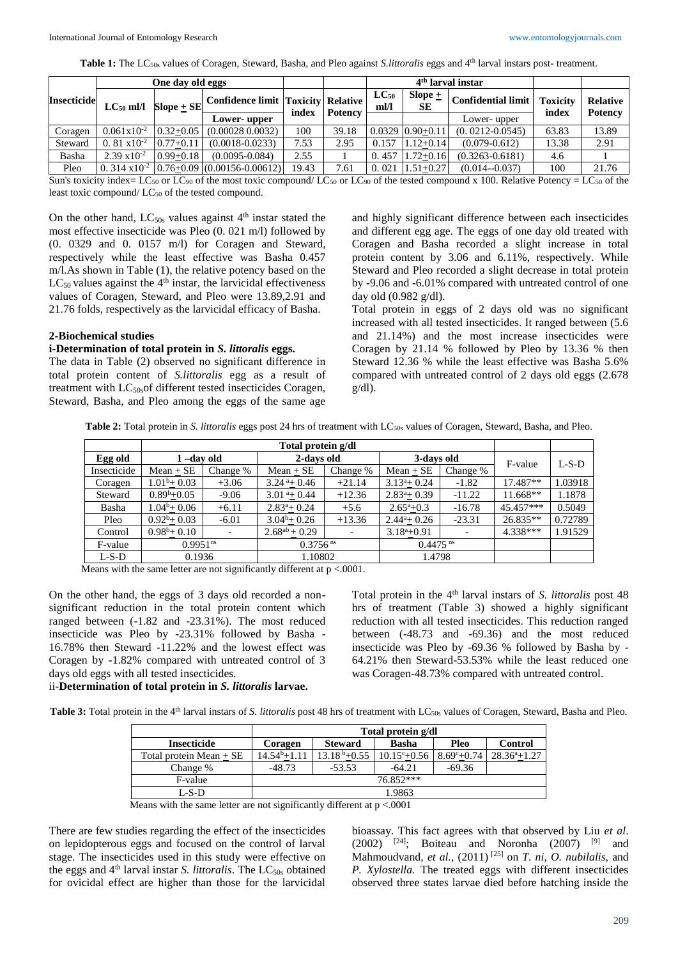**Table 1:** The LC50s values of Coragen, Steward, Basha, and Pleo against *S.littoralis* eggs and 4th larval instars post- treatment.

|                    | One day old eggs      |                                                   |                                                                              |                                                                                                                                                                                      | 4 <sup>th</sup> larval instar |                             |                        |                     |       |       |
|--------------------|-----------------------|---------------------------------------------------|------------------------------------------------------------------------------|--------------------------------------------------------------------------------------------------------------------------------------------------------------------------------------|-------------------------------|-----------------------------|------------------------|---------------------|-------|-------|
| <b>Insecticide</b> | $LC_{50}$ ml/l        |                                                   |                                                                              | Slope $\pm$<br>$LC_{50}$<br>$\begin{array}{c c} \textbf{Slope} \pm \textbf{SE} & \textbf{Confidence limit} & \textbf{Toxicity} & \textbf{Relative} \end{array}$<br>ml/l<br><b>SE</b> |                               | Confidential limit Toxicity | index                  | <b>Relative</b>     |       |       |
|                    |                       | index<br>  Potency<br>Lower-upper<br>Lower- upper |                                                                              | <b>Potency</b>                                                                                                                                                                       |                               |                             |                        |                     |       |       |
| Coragen            | $0.061x10^{-2}$       |                                                   | $\mid 0.32 + 0.05 \mid (0.00028, 0.0032) \mid$                               | 100                                                                                                                                                                                  | 39.18                         |                             | $0.0329$ $ 0.90+0.11 $ | $(0.0212 - 0.0545)$ | 63.83 | 13.89 |
| Steward            | 0. 81 $x10^{-2}$      | $0.77 + 0.11$                                     | $(0.0018 - 0.0233)$                                                          | 7.53                                                                                                                                                                                 | 2.95                          | 0.157                       | $1.12 + 0.14$          | $(0.079 - 0.612)$   | 13.38 | 2.91  |
| Basha              | $2.39 \times 10^{-2}$ | $0.99 + 0.18$                                     | $(0.0095 - 0.084)$                                                           | 2.55                                                                                                                                                                                 |                               | 0.457                       | $1.72 + 0.16$          | $(0.3263 - 0.6181)$ | 4.6   |       |
| Pleo               |                       |                                                   | 0. 314 x10 <sup>-2</sup> $\vert 0.76 + 0.09 \vert (0.00156 - 0.00612) \vert$ | 19.43                                                                                                                                                                                | 7.61                          | 0.021                       | $1.51 + 0.27$          | $(0.014 - 0.037)$   | 100   | 21.76 |

Sun's toxicity index= LC<sub>50</sub> or LC<sub>90</sub> of the most toxic compound/ LC<sub>50</sub> or LC<sub>90</sub> of the tested compound x 100. Relative Potency = LC<sub>50</sub> of the least toxic compound/ LC<sub>50</sub> of the tested compound.

On the other hand,  $LC_{50s}$  values against  $4<sup>th</sup>$  instar stated the most effective insecticide was Pleo (0. 021 m/l) followed by (0. 0329 and 0. 0157 m/l) for Coragen and Steward, respectively while the least effective was Basha 0.457 m/l.As shown in Table (1), the relative potency based on the  $LC_{50}$  values against the 4<sup>th</sup> instar, the larvicidal effectiveness values of Coragen, Steward, and Pleo were 13.89,2.91 and 21.76 folds, respectively as the larvicidal efficacy of Basha.

#### **2-Biochemical studies**

## **i-Determination of total protein in** *S. littoralis* **eggs.**

The data in Table (2) observed no significant difference in total protein content of *S.littoralis* egg as a result of treatment with LC50sof different tested insecticides Coragen, Steward, Basha, and Pleo among the eggs of the same age

and highly significant difference between each insecticides and different egg age. The eggs of one day old treated with Coragen and Basha recorded a slight increase in total protein content by 3.06 and 6.11%, respectively. While Steward and Pleo recorded a slight decrease in total protein by -9.06 and -6.01% compared with untreated control of one day old (0.982 g/dl).

Total protein in eggs of 2 days old was no significant increased with all tested insecticides. It ranged between (5.6 and 21.14%) and the most increase insecticides were Coragen by 21.14 % followed by Pleo by 13.36 % then Steward 12.36 % while the least effective was Basha 5.6% compared with untreated control of 2 days old eggs (2.678  $g/dl$ ).

**Table 2:** Total protein in *S. littoralis* eggs post 24 hrs of treatment with LC50s values of Coragen, Steward, Basha, and Pleo.

|             |                        |                      | Total protein g/dl         |          |                           |          |            |         |  |
|-------------|------------------------|----------------------|----------------------------|----------|---------------------------|----------|------------|---------|--|
| Egg old     | $1 -$ day old          |                      | 2-days old                 |          | 3-days old                |          | F-value    | $L-S-D$ |  |
| Insecticide | $Mean + SE$            | Change %             | $Mean + SE$                | Change % | $Mean + SE$<br>Change %   |          |            |         |  |
| Coragen     | $1.01^b + 0.03$        | $+3.06$              | $3.24^{\text{a}} + 0.46$   | $+21.14$ | $3.13^{\circ}+0.24$       | $-1.82$  | 17.487**   | 1.03918 |  |
| Steward     | $0.89^{\rm b} + 0.05$  | $-9.06$              | $3.01^{\text{a}} + 0.44$   | $+12.36$ | $2.83^{\mathrm{a}}+0.39$  | $-11.22$ | $11.668**$ | 1.1878  |  |
| Basha       | $1.04^b + 0.06$        | $+6.11$              | $2.83^{\mathrm{a}} + 0.24$ | $+5.6$   | $2.65^{\mathrm{a}} + 0.3$ | $-16.78$ | 45.457***  | 0.5049  |  |
| Pleo        | $0.92^b + 0.03$        | $-6.01$              | $3.04^b + 0.26$            | $+13.36$ | $2.44^a + 0.26$           | $-23.31$ | 26.835**   | 0.72789 |  |
| Control     | $0.98^b + 0.10$        |                      | $2.68^{ab} + 0.29$         |          | $3.18^a + 0.91$           |          | 4.338***   | 1.91529 |  |
| F-value     | $0.9951$ <sup>ns</sup> |                      | $0.3756$ <sup>ns</sup>     |          | $0.4475$ <sup>ns</sup>    |          |            |         |  |
| $L-S-D$     | 0.1936                 | $\sim$ $\sim$ $\sim$ | 1.10802                    |          | 1.4798                    |          |            |         |  |

Means with the same letter are not significantly different at p <.0001.

On the other hand, the eggs of 3 days old recorded a nonsignificant reduction in the total protein content which ranged between (-1.82 and -23.31%). The most reduced insecticide was Pleo by -23.31% followed by Basha - 16.78% then Steward -11.22% and the lowest effect was Coragen by -1.82% compared with untreated control of 3 days old eggs with all tested insecticides. ii-**Determination of total protein in** *S. littoralis* **larvae.**

# Total protein in the 4<sup>th</sup> larval instars of *S. littoralis* post 48 hrs of treatment (Table 3) showed a highly significant reduction with all tested insecticides. This reduction ranged between (-48.73 and -69.36) and the most reduced insecticide was Pleo by -69.36 % followed by Basha by - 64.21% then Steward-53.53% while the least reduced one was Coragen-48.73% compared with untreated control.

Table 3: Total protein in the 4<sup>th</sup> larval instars of *S. littoralis* post 48 hrs of treatment with LC<sub>50s</sub> values of Coragen, Steward, Basha and Pleo.

|                         |                  |                | Total protein g/dl                          |          |                  |
|-------------------------|------------------|----------------|---------------------------------------------|----------|------------------|
| <b>Insecticide</b>      | Coragen          | <b>Steward</b> | <b>Basha</b>                                | Pleo     | Control          |
| Total protein Mean + SE | $14.54^{b}+1.11$ | $13.18b+0.55$  | $10.15^{\circ}+0.56$   8.69 $^{\circ}+0.74$ |          | $28.36^{a}+1.27$ |
| Change %                | $-48.73$         | $-53.53$       | $-64.21$                                    | $-69.36$ |                  |
| F-value                 |                  |                | 76.852***                                   |          |                  |
| $L-S-D$                 |                  |                | 1.9863                                      |          |                  |
|                         |                  |                |                                             |          |                  |

Means with the same letter are not significantly different at  $p < .0001$ 

There are few studies regarding the effect of the insecticides on lepidopterous eggs and focused on the control of larval stage. The insecticides used in this study were effective on the eggs and 4<sup>th</sup> larval instar *S. littoralis*. The LC<sub>50s</sub> obtained for ovicidal effect are higher than those for the larvicidal

bioassay. This fact agrees with that observed by Liu *et al*.  $(2002)$ <sup>[24]</sup>; Boiteau and Noronha  $(2007)$ <sup>[9]</sup> and Mahmoudvand, *et al.,* (2011) [25] on *T. ni*, *O. nubilalis,* and *P. Xylostella.* The treated eggs with different insecticides observed three states larvae died before hatching inside the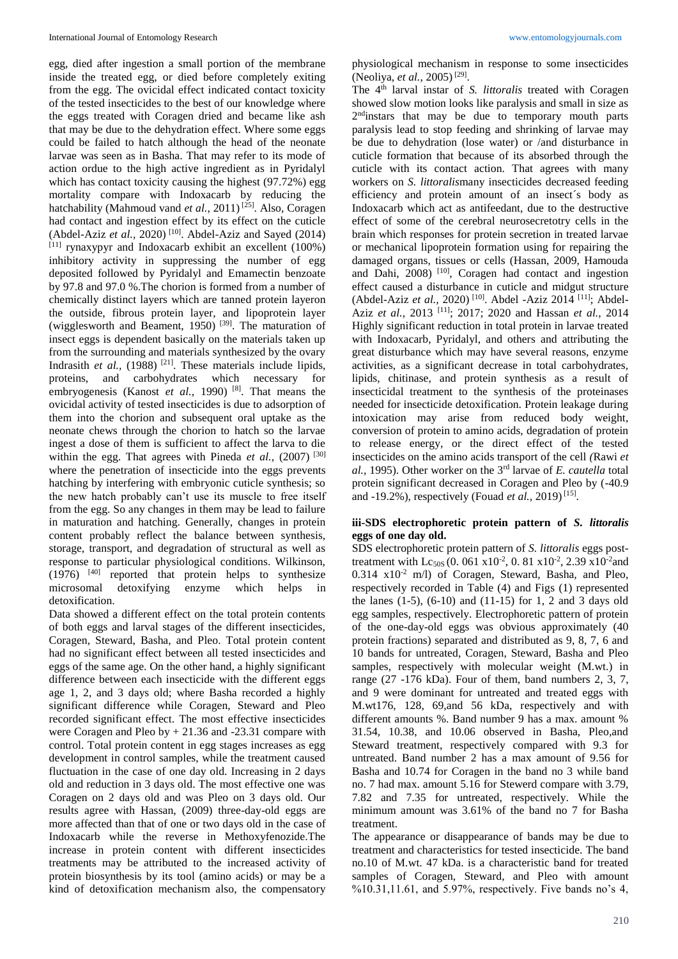egg, died after ingestion a small portion of the membrane inside the treated egg, or died before completely exiting from the egg. The ovicidal effect indicated contact toxicity of the tested insecticides to the best of our knowledge where the eggs treated with Coragen dried and became like ash that may be due to the dehydration effect. Where some eggs could be failed to hatch although the head of the neonate larvae was seen as in Basha. That may refer to its mode of action ordue to the high active ingredient as in Pyridalyl which has contact toxicity causing the highest (97.72%) egg mortality compare with Indoxacarb by reducing the hatchability (Mahmoud vand *et al.*, 2011)<sup>[25]</sup>. Also, Coragen had contact and ingestion effect by its effect on the cuticle (Abdel-Aziz et al., 2020)<sup>[10]</sup>. Abdel-Aziz and Sayed (2014) [11] rynaxypyr and Indoxacarb exhibit an excellent (100%) inhibitory activity in suppressing the number of egg deposited followed by Pyridalyl and Emamectin benzoate by 97.8 and 97.0 %.The chorion is formed from a number of chemically distinct layers which are tanned protein layeron the outside, fibrous protein layer, and lipoprotein layer (wigglesworth and Beament, 1950)<sup>[39]</sup>. The maturation of insect eggs is dependent basically on the materials taken up from the surrounding and materials synthesized by the ovary Indrasith *et al.*, (1988)<sup>[21]</sup>. These materials include lipids, proteins, and carbohydrates which necessary for embryogenesis (Kanost *et al.*, 1990)<sup>[8]</sup>. That means the ovicidal activity of tested insecticides is due to adsorption of them into the chorion and subsequent oral uptake as the neonate chews through the chorion to hatch so the larvae ingest a dose of them is sufficient to affect the larva to die within the egg. That agrees with Pineda *et al.*, (2007)<sup>[30]</sup> where the penetration of insecticide into the eggs prevents hatching by interfering with embryonic cuticle synthesis; so the new hatch probably can't use its muscle to free itself from the egg. So any changes in them may be lead to failure in maturation and hatching. Generally, changes in protein content probably reflect the balance between synthesis, storage, transport, and degradation of structural as well as response to particular physiological conditions. Wilkinson, (1976) [40] reported that protein helps to synthesize microsomal detoxifying enzyme which helps in detoxification.

Data showed a different effect on the total protein contents of both eggs and larval stages of the different insecticides, Coragen, Steward, Basha, and Pleo. Total protein content had no significant effect between all tested insecticides and eggs of the same age. On the other hand, a highly significant difference between each insecticide with the different eggs age 1, 2, and 3 days old; where Basha recorded a highly significant difference while Coragen, Steward and Pleo recorded significant effect. The most effective insecticides were Coragen and Pleo  $by + 21.36$  and  $-23.31$  compare with control. Total protein content in egg stages increases as egg development in control samples, while the treatment caused fluctuation in the case of one day old. Increasing in 2 days old and reduction in 3 days old. The most effective one was Coragen on 2 days old and was Pleo on 3 days old. Our results agree with Hassan, (2009) three-day-old eggs are more affected than that of one or two days old in the case of Indoxacarb while the reverse in Methoxyfenozide.The increase in protein content with different insecticides treatments may be attributed to the increased activity of protein biosynthesis by its tool (amino acids) or may be a kind of detoxification mechanism also, the compensatory

physiological mechanism in response to some insecticides (Neoliya, *et al.,* 2005) [29] .

The 4th larval instar of *S. littoralis* treated with Coragen showed slow motion looks like paralysis and small in size as 2<sup>nd</sup>instars that may be due to temporary mouth parts paralysis lead to stop feeding and shrinking of larvae may be due to dehydration (lose water) or /and disturbance in cuticle formation that because of its absorbed through the cuticle with its contact action. That agrees with many workers on *S. littoralis*many insecticides decreased feeding efficiency and protein amount of an insect´s body as Indoxacarb which act as antifeedant, due to the destructive effect of some of the cerebral neurosecretotry cells in the brain which responses for protein secretion in treated larvae or mechanical lipoprotein formation using for repairing the damaged organs, tissues or cells (Hassan, 2009, Hamouda and Dahi, 2008) <sup>[10]</sup>, Coragen had contact and ingestion effect caused a disturbance in cuticle and midgut structure (Abdel-Aziz *et al.,* 2020) [10]. Abdel -Aziz 2014 [11]; Abdel-Aziz *et al.,* 2013 [11]; 2017; 2020 and Hassan *et al.,* 2014 Highly significant reduction in total protein in larvae treated with Indoxacarb, Pyridalyl, and others and attributing the great disturbance which may have several reasons, enzyme activities, as a significant decrease in total carbohydrates, lipids, chitinase, and protein synthesis as a result of insecticidal treatment to the synthesis of the proteinases needed for insecticide detoxification. Protein leakage during intoxication may arise from reduced body weight, conversion of protein to amino acids, degradation of protein to release energy, or the direct effect of the tested insecticides on the amino acids transport of the cell *(*Rawi *et al.,* 1995). Other worker on the 3rd larvae of *E. cautella* total protein significant decreased in Coragen and Pleo by (-40.9 and -19.2%), respectively (Fouad *et al.*, 2019)<sup>[15]</sup>.

## **iii-SDS electrophoretic protein pattern of** *S. littoralis*  **eggs of one day old.**

SDS electrophoretic protein pattern of *S. littoralis* eggs posttreatment with Lc<sub>50S</sub> (0. 061 x10<sup>-2</sup>, 0. 81 x10<sup>-2</sup>, 2.39 x10<sup>-2</sup> and 0.314 x10<sup>-2</sup> m/l) of Coragen, Steward, Basha, and Pleo, respectively recorded in Table (4) and Figs (1) represented the lanes (1-5), (6-10) and (11-15) for 1, 2 and 3 days old egg samples, respectively. Electrophoretic pattern of protein of the one-day-old eggs was obvious approximately (40 protein fractions) separated and distributed as 9, 8, 7, 6 and 10 bands for untreated, Coragen, Steward, Basha and Pleo samples, respectively with molecular weight (M.wt.) in range (27 -176 kDa). Four of them, band numbers 2, 3, 7, and 9 were dominant for untreated and treated eggs with M.wt176, 128, 69,and 56 kDa, respectively and with different amounts %. Band number 9 has a max. amount % 31.54, 10.38, and 10.06 observed in Basha, Pleo,and Steward treatment, respectively compared with 9.3 for untreated. Band number 2 has a max amount of 9.56 for Basha and 10.74 for Coragen in the band no 3 while band no. 7 had max. amount 5.16 for Stewerd compare with 3.79, 7.82 and 7.35 for untreated, respectively. While the minimum amount was 3.61% of the band no 7 for Basha treatment.

The appearance or disappearance of bands may be due to treatment and characteristics for tested insecticide. The band no.10 of M.wt. 47 kDa. is a characteristic band for treated samples of Coragen, Steward, and Pleo with amount %10.31,11.61, and 5.97%, respectively. Five bands no's 4,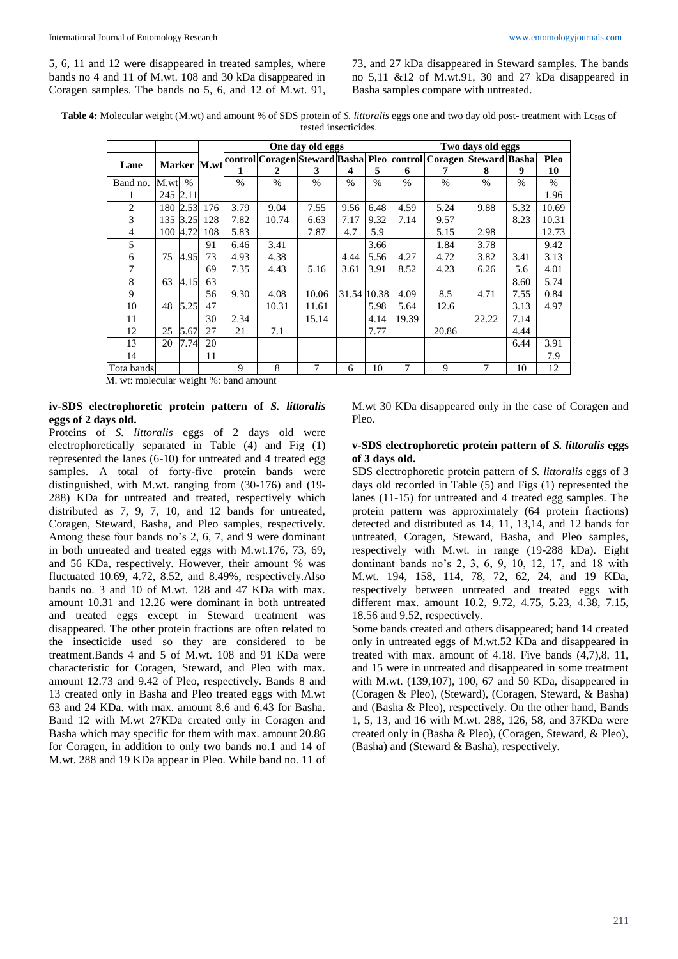73, and 27 kDa disappeared in Steward samples. The bands no 5,11 &12 of M.wt.91, 30 and 27 kDa disappeared in Basha samples compare with untreated.

**Table 4:** Molecular weight (M.wt) and amount % of SDS protein of *S. littoralis* eggs one and two day old post- treatment with Lc50S of tested insecticides.

|            |          |               |     |      |       | One day old eggs |               |      | Two days old eggs<br>Marker M.wt control Coragen Steward Basha Pleo control Coragen Steward Basha |               |               |      |       |
|------------|----------|---------------|-----|------|-------|------------------|---------------|------|---------------------------------------------------------------------------------------------------|---------------|---------------|------|-------|
| Lane       |          |               |     |      |       |                  |               |      |                                                                                                   |               |               |      | Pleo  |
|            |          |               |     |      | 2     | 3                | 4             | 5    | 6                                                                                                 |               | 8             | 9    | 10    |
| Band no.   | M.wt     | $\frac{0}{0}$ |     | $\%$ | $\%$  | $\%$             | $\frac{0}{0}$ | $\%$ | $\%$                                                                                              | $\frac{0}{0}$ | $\frac{0}{0}$ | $\%$ | $\%$  |
|            | 245 2.11 |               |     |      |       |                  |               |      |                                                                                                   |               |               |      | 1.96  |
| 2          | 180      | 2.53          | 176 | 3.79 | 9.04  | 7.55             | 9.56          | 6.48 | 4.59                                                                                              | 5.24          | 9.88          | 5.32 | 10.69 |
| 3          | 135      | 3<br>.251     | 128 | 7.82 | 10.74 | 6.63             | 7.17          | 9.32 | 7.14                                                                                              | 9.57          |               | 8.23 | 10.31 |
| 4          | 100      | 4.72          | 108 | 5.83 |       | 7.87             | 4.7           | 5.9  |                                                                                                   | 5.15          | 2.98          |      | 12.73 |
| 5          |          |               | 91  | 6.46 | 3.41  |                  |               | 3.66 |                                                                                                   | 1.84          | 3.78          |      | 9.42  |
| 6          | 75       | 4.95          | 73  | 4.93 | 4.38  |                  | 4.44          | 5.56 | 4.27                                                                                              | 4.72          | 3.82          | 3.41 | 3.13  |
| 7          |          |               | 69  | 7.35 | 4.43  | 5.16             | 3.61          | 3.91 | 8.52                                                                                              | 4.23          | 6.26          | 5.6  | 4.01  |
| 8          | 63       | 4.15          | 63  |      |       |                  |               |      |                                                                                                   |               |               | 8.60 | 5.74  |
| 9          |          |               | 56  | 9.30 | 4.08  | 10.06            | 31.54 10.38   |      | 4.09                                                                                              | 8.5           | 4.71          | 7.55 | 0.84  |
| 10         | 48       | 5.25          | 47  |      | 10.31 | 11.61            |               | 5.98 | 5.64                                                                                              | 12.6          |               | 3.13 | 4.97  |
| 11         |          |               | 30  | 2.34 |       | 15.14            |               | 4.14 | 19.39                                                                                             |               | 22.22         | 7.14 |       |
| 12         | 25       | 5.67          | 27  | 21   | 7.1   |                  |               | 7.77 |                                                                                                   | 20.86         |               | 4.44 |       |
| 13         | 20       | 7.74          | 20  |      |       |                  |               |      |                                                                                                   |               |               | 6.44 | 3.91  |
| 14         |          |               | 11  |      |       |                  |               |      |                                                                                                   |               |               |      | 7.9   |
| Tota bands |          |               |     | 9    | 8     | 7                | 6             | 10   | 7                                                                                                 | 9             | 7             | 10   | 12    |

M. wt: molecular weight %: band amount

### **iv-SDS electrophoretic protein pattern of** *S. littoralis*  **eggs of 2 days old.**

Proteins of *S. littoralis* eggs of 2 days old were electrophoretically separated in Table (4) and Fig (1) represented the lanes (6-10) for untreated and 4 treated egg samples. A total of forty-five protein bands were distinguished, with M.wt. ranging from (30-176) and (19- 288) KDa for untreated and treated, respectively which distributed as 7, 9, 7, 10, and 12 bands for untreated, Coragen, Steward, Basha, and Pleo samples, respectively. Among these four bands no's 2, 6, 7, and 9 were dominant in both untreated and treated eggs with M.wt.176, 73, 69, and 56 KDa, respectively. However, their amount % was fluctuated 10.69, 4.72, 8.52, and 8.49%, respectively.Also bands no. 3 and 10 of M.wt. 128 and 47 KDa with max. amount 10.31 and 12.26 were dominant in both untreated and treated eggs except in Steward treatment was disappeared. The other protein fractions are often related to the insecticide used so they are considered to be treatment.Bands 4 and 5 of M.wt. 108 and 91 KDa were characteristic for Coragen, Steward, and Pleo with max. amount 12.73 and 9.42 of Pleo, respectively. Bands 8 and 13 created only in Basha and Pleo treated eggs with M.wt 63 and 24 KDa. with max. amount 8.6 and 6.43 for Basha. Band 12 with M.wt 27KDa created only in Coragen and Basha which may specific for them with max. amount 20.86 for Coragen, in addition to only two bands no.1 and 14 of M.wt. 288 and 19 KDa appear in Pleo. While band no. 11 of M.wt 30 KDa disappeared only in the case of Coragen and Pleo.

### **v-SDS electrophoretic protein pattern of** *S. littoralis* **eggs of 3 days old.**

SDS electrophoretic protein pattern of *S. littoralis* eggs of 3 days old recorded in Table (5) and Figs (1) represented the lanes (11-15) for untreated and 4 treated egg samples. The protein pattern was approximately (64 protein fractions) detected and distributed as 14, 11, 13,14, and 12 bands for untreated, Coragen, Steward, Basha, and Pleo samples, respectively with M.wt. in range (19-288 kDa). Eight dominant bands no's 2, 3, 6, 9, 10, 12, 17, and 18 with M.wt. 194, 158, 114, 78, 72, 62, 24, and 19 KDa, respectively between untreated and treated eggs with different max. amount 10.2, 9.72, 4.75, 5.23, 4.38, 7.15, 18.56 and 9.52, respectively.

Some bands created and others disappeared; band 14 created only in untreated eggs of M.wt.52 KDa and disappeared in treated with max. amount of 4.18. Five bands (4,7),8, 11, and 15 were in untreated and disappeared in some treatment with M.wt. (139,107), 100, 67 and 50 KDa, disappeared in (Coragen & Pleo), (Steward), (Coragen, Steward, & Basha) and (Basha & Pleo), respectively. On the other hand, Bands 1, 5, 13, and 16 with M.wt. 288, 126, 58, and 37KDa were created only in (Basha & Pleo), (Coragen, Steward, & Pleo), (Basha) and (Steward & Basha), respectively.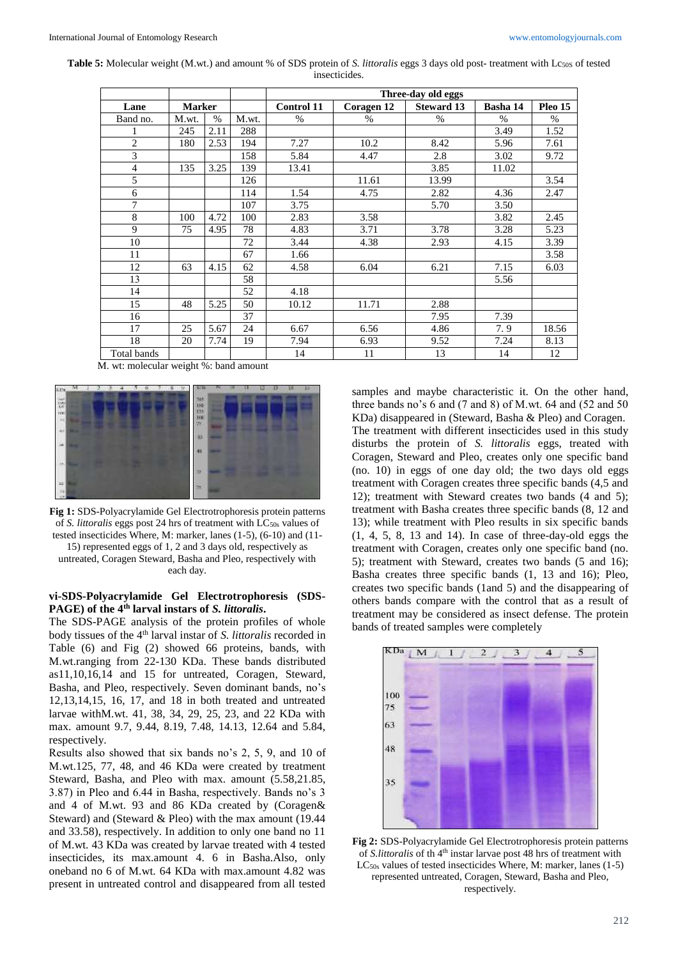**Table 5:** Molecular weight (M.wt.) and amount % of SDS protein of *S. littoralis* eggs 3 days old post- treatment with Lc50S of tested insecticides.

|                |               |      |       |                   |            | Three-day old eggs |          |         |
|----------------|---------------|------|-------|-------------------|------------|--------------------|----------|---------|
| Lane           | <b>Marker</b> |      |       | <b>Control 11</b> | Coragen 12 | <b>Steward 13</b>  | Basha 14 | Pleo 15 |
| Band no.       | M.wt.         | $\%$ | M.wt. | $\%$              | $\%$       | $\%$               | $\%$     | $\%$    |
|                | 245           | 2.11 | 288   |                   |            |                    | 3.49     | 1.52    |
| $\overline{c}$ | 180           | 2.53 | 194   | 7.27              | 10.2       | 8.42               | 5.96     | 7.61    |
| 3              |               |      | 158   | 5.84              | 4.47       | 2.8                | 3.02     | 9.72    |
| 4              | 135           | 3.25 | 139   | 13.41             |            | 3.85               | 11.02    |         |
| 5              |               |      | 126   |                   | 11.61      | 13.99              |          | 3.54    |
| 6              |               |      | 114   | 1.54              | 4.75       | 2.82               | 4.36     | 2.47    |
| 7              |               |      | 107   | 3.75              |            | 5.70               | 3.50     |         |
| 8              | 100           | 4.72 | 100   | 2.83              | 3.58       |                    | 3.82     | 2.45    |
| 9              | 75            | 4.95 | 78    | 4.83              | 3.71       | 3.78               | 3.28     | 5.23    |
| 10             |               |      | 72    | 3.44              | 4.38       | 2.93               | 4.15     | 3.39    |
| 11             |               |      | 67    | 1.66              |            |                    |          | 3.58    |
| 12             | 63            | 4.15 | 62    | 4.58              | 6.04       | 6.21               | 7.15     | 6.03    |
| 13             |               |      | 58    |                   |            |                    | 5.56     |         |
| 14             |               |      | 52    | 4.18              |            |                    |          |         |
| 15             | 48            | 5.25 | 50    | 10.12             | 11.71      | 2.88               |          |         |
| 16             |               |      | 37    |                   |            | 7.95               | 7.39     |         |
| 17             | 25            | 5.67 | 24    | 6.67              | 6.56       | 4.86               | 7.9      | 18.56   |
| 18             | 20            | 7.74 | 19    | 7.94              | 6.93       | 9.52               | 7.24     | 8.13    |
| Total bands    |               |      |       | 14                | 11         | 13                 | 14       | 12      |

M. wt: molecular weight %: band amount



**Fig 1:** SDS-Polyacrylamide Gel Electrotrophoresis protein patterns of *S. littoralis* eggs post 24 hrs of treatment with LC<sub>50s</sub> values of tested insecticides Where, M: marker, lanes (1-5), (6-10) and (11- 15) represented eggs of 1, 2 and 3 days old, respectively as untreated, Coragen Steward, Basha and Pleo, respectively with each day.

#### **vi-SDS-Polyacrylamide Gel Electrotrophoresis (SDS-PAGE) of the 4th larval instars of** *S. littoralis***.**

The SDS-PAGE analysis of the protein profiles of whole body tissues of the 4<sup>th</sup> larval instar of *S. littoralis* recorded in Table (6) and Fig (2) showed 66 proteins, bands, with M.wt.ranging from 22-130 KDa. These bands distributed as11,10,16,14 and 15 for untreated, Coragen, Steward, Basha, and Pleo, respectively. Seven dominant bands, no's 12,13,14,15, 16, 17, and 18 in both treated and untreated larvae withM.wt. 41, 38, 34, 29, 25, 23, and 22 KDa with max. amount 9.7, 9.44, 8.19, 7.48, 14.13, 12.64 and 5.84, respectively.

Results also showed that six bands no's 2, 5, 9, and 10 of M.wt.125, 77, 48, and 46 KDa were created by treatment Steward, Basha, and Pleo with max. amount (5.58,21.85, 3.87) in Pleo and 6.44 in Basha, respectively. Bands no's 3 and 4 of M.wt. 93 and 86 KDa created by (Coragen& Steward) and (Steward & Pleo) with the max amount (19.44 and 33.58), respectively. In addition to only one band no 11 of M.wt. 43 KDa was created by larvae treated with 4 tested insecticides, its max.amount 4. 6 in Basha.Also, only oneband no 6 of M.wt. 64 KDa with max.amount 4.82 was present in untreated control and disappeared from all tested

samples and maybe characteristic it. On the other hand, three bands no's 6 and (7 and 8) of M.wt. 64 and (52 and 50 KDa) disappeared in (Steward, Basha & Pleo) and Coragen. The treatment with different insecticides used in this study disturbs the protein of *S. littoralis* eggs, treated with Coragen, Steward and Pleo, creates only one specific band (no. 10) in eggs of one day old; the two days old eggs treatment with Coragen creates three specific bands (4,5 and 12); treatment with Steward creates two bands (4 and 5); treatment with Basha creates three specific bands (8, 12 and 13); while treatment with Pleo results in six specific bands (1, 4, 5, 8, 13 and 14). In case of three-day-old eggs the treatment with Coragen, creates only one specific band (no. 5); treatment with Steward, creates two bands (5 and 16); Basha creates three specific bands (1, 13 and 16); Pleo, creates two specific bands (1and 5) and the disappearing of others bands compare with the control that as a result of treatment may be considered as insect defense. The protein bands of treated samples were completely



**Fig 2:** SDS-Polyacrylamide Gel Electrotrophoresis protein patterns of *S.littoralis* of th 4th instar larvae post 48 hrs of treatment with LC<sub>50s</sub> values of tested insecticides Where, M: marker, lanes (1-5) represented untreated, Coragen, Steward, Basha and Pleo, respectively.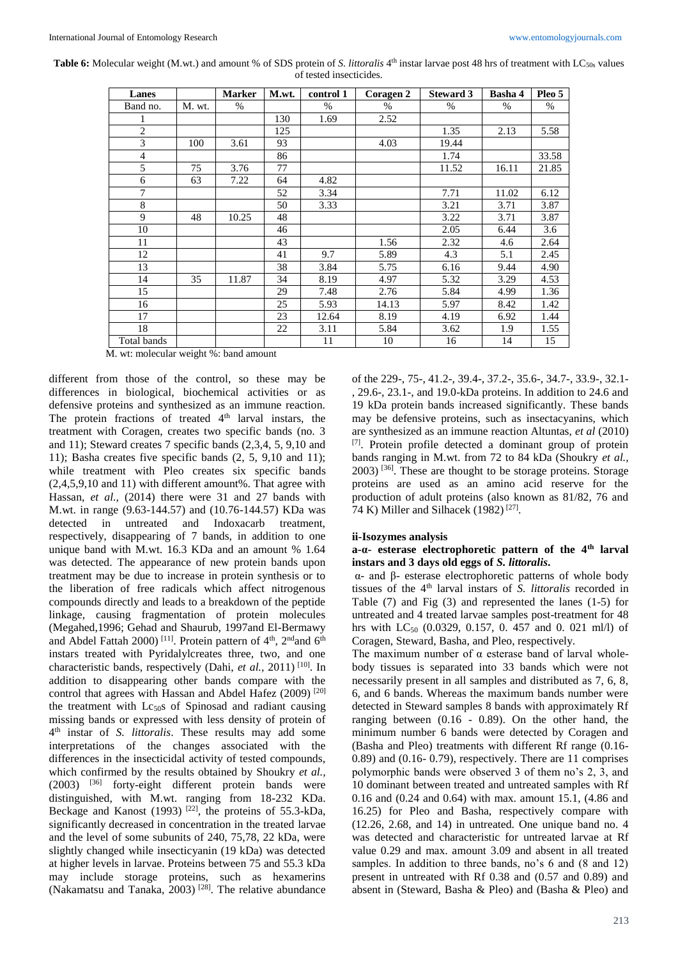Table 6: Molecular weight (M.wt.) and amount % of SDS protein of *S. littoralis* 4<sup>th</sup> instar larvae post 48 hrs of treatment with LC<sub>50s</sub> values of tested insecticides*.*

| Lanes          |        | <b>Marker</b> | M.wt. | control 1 | <b>Coragen 2</b> | <b>Steward 3</b> | <b>Basha 4</b> | Pleo 5 |
|----------------|--------|---------------|-------|-----------|------------------|------------------|----------------|--------|
| Band no.       | M. wt. | $\%$          |       | $\%$      | $\%$             | $\%$             | $\%$           | %      |
|                |        |               | 130   | 1.69      | 2.52             |                  |                |        |
| $\mathbf{2}$   |        |               | 125   |           |                  | 1.35             | 2.13           | 5.58   |
| 3              | 100    | 3.61          | 93    |           | 4.03             | 19.44            |                |        |
| $\overline{4}$ |        |               | 86    |           |                  | 1.74             |                | 33.58  |
| 5              | 75     | 3.76          | 77    |           |                  | 11.52            | 16.11          | 21.85  |
| 6              | 63     | 7.22          | 64    | 4.82      |                  |                  |                |        |
| 7              |        |               | 52    | 3.34      |                  | 7.71             | 11.02          | 6.12   |
| 8              |        |               | 50    | 3.33      |                  | 3.21             | 3.71           | 3.87   |
| 9              | 48     | 10.25         | 48    |           |                  | 3.22             | 3.71           | 3.87   |
| 10             |        |               | 46    |           |                  | 2.05             | 6.44           | 3.6    |
| 11             |        |               | 43    |           | 1.56             | 2.32             | 4.6            | 2.64   |
| 12             |        |               | 41    | 9.7       | 5.89             | 4.3              | 5.1            | 2.45   |
| 13             |        |               | 38    | 3.84      | 5.75             | 6.16             | 9.44           | 4.90   |
| 14             | 35     | 11.87         | 34    | 8.19      | 4.97             | 5.32             | 3.29           | 4.53   |
| 15             |        |               | 29    | 7.48      | 2.76             | 5.84             | 4.99           | 1.36   |
| 16             |        |               | 25    | 5.93      | 14.13            | 5.97             | 8.42           | 1.42   |
| 17             |        |               | 23    | 12.64     | 8.19             | 4.19             | 6.92           | 1.44   |
| 18             |        |               | 22    | 3.11      | 5.84             | 3.62             | 1.9            | 1.55   |
| Total bands    |        |               |       | 11        | 10               | 16               | 14             | 15     |

M. wt: molecular weight %: band amount

different from those of the control, so these may be differences in biological, biochemical activities or as defensive proteins and synthesized as an immune reaction. The protein fractions of treated  $4<sup>th</sup>$  larval instars, the treatment with Coragen, creates two specific bands (no. 3 and 11); Steward creates 7 specific bands (2,3,4, 5, 9,10 and 11); Basha creates five specific bands (2, 5, 9,10 and 11); while treatment with Pleo creates six specific bands (2,4,5,9,10 and 11) with different amount%. That agree with Hassan, *et al.,* (2014) there were 31 and 27 bands with M.wt. in range (9.63-144.57) and (10.76-144.57) KDa was detected in untreated and Indoxacarb treatment, respectively, disappearing of 7 bands, in addition to one unique band with M.wt. 16.3 KDa and an amount % 1.64 was detected. The appearance of new protein bands upon treatment may be due to increase in protein synthesis or to the liberation of free radicals which affect nitrogenous compounds directly and leads to a breakdown of the peptide linkage, causing fragmentation of protein molecules (Megahed,1996; Gehad and Shaurub, 1997and El-Bermawy and Abdel Fattah 2000)<sup>[11]</sup>. Protein pattern of  $4<sup>th</sup>$ ,  $2<sup>nd</sup>$  and  $6<sup>th</sup>$ instars treated with Pyridalylcreates three, two, and one characteristic bands, respectively (Dahi, *et al.,* 2011) [10] . In addition to disappearing other bands compare with the control that agrees with Hassan and Abdel Hafez (2009) [20] the treatment with  $Lc_{50}$ s of Spinosad and radiant causing missing bands or expressed with less density of protein of 4 th instar of *S. littoralis*. These results may add some interpretations of the changes associated with the differences in the insecticidal activity of tested compounds, which confirmed by the results obtained by Shoukry *et al.,* (2003) [36] forty-eight different protein bands were distinguished, with M.wt. ranging from 18-232 KDa. Beckage and Kanost (1993)  $[22]$ , the proteins of 55.3-kDa, significantly decreased in concentration in the treated larvae and the level of some subunits of 240, 75,78, 22 kDa, were slightly changed while insecticyanin (19 kDa) was detected at higher levels in larvae. Proteins between 75 and 55.3 kDa may include storage proteins, such as hexamerins (Nakamatsu and Tanaka, 2003)<sup>[28]</sup>. The relative abundance of the 229-, 75-, 41.2-, 39.4-, 37.2-, 35.6-, 34.7-, 33.9-, 32.1- , 29.6-, 23.1-, and 19.0-kDa proteins. In addition to 24.6 and 19 kDa protein bands increased significantly. These bands may be defensive proteins, such as insectacyanins, which are synthesized as an immune reaction Altuntas, *et al* (2010)  $[7]$ . Protein profile detected a dominant group of protein bands ranging in M.wt. from 72 to 84 kDa (Shoukry *et al.,*  $2003$ ) [36]. These are thought to be storage proteins. Storage proteins are used as an amino acid reserve for the production of adult proteins (also known as 81/82, 76 and 74 K) Miller and Silhacek (1982) [27] .

#### **ii-Isozymes analysis**

### **a-α- esterase electrophoretic pattern of the 4th larval instars and 3 days old eggs of** *S. littoralis***.**

α- and β- esterase electrophoretic patterns of whole body tissues of the 4th larval instars of *S. littoralis* recorded in Table (7) and Fig (3) and represented the lanes (1-5) for untreated and 4 treated larvae samples post-treatment for 48 hrs with LC<sub>50</sub> (0.0329, 0.157, 0. 457 and 0. 021 ml/l) of Coragen, Steward, Basha, and Pleo, respectively.

The maximum number of  $\alpha$  esterase band of larval wholebody tissues is separated into 33 bands which were not necessarily present in all samples and distributed as 7, 6, 8, 6, and 6 bands. Whereas the maximum bands number were detected in Steward samples 8 bands with approximately Rf ranging between (0.16 - 0.89). On the other hand, the minimum number 6 bands were detected by Coragen and (Basha and Pleo) treatments with different Rf range (0.16- 0.89) and (0.16- 0.79), respectively. There are 11 comprises polymorphic bands were observed 3 of them no's 2, 3, and 10 dominant between treated and untreated samples with Rf 0.16 and (0.24 and 0.64) with max. amount 15.1, (4.86 and 16.25) for Pleo and Basha, respectively compare with (12.26, 2.68, and 14) in untreated. One unique band no. 4 was detected and characteristic for untreated larvae at Rf value 0.29 and max. amount 3.09 and absent in all treated samples. In addition to three bands, no's 6 and (8 and 12) present in untreated with Rf 0.38 and (0.57 and 0.89) and absent in (Steward, Basha & Pleo) and (Basha & Pleo) and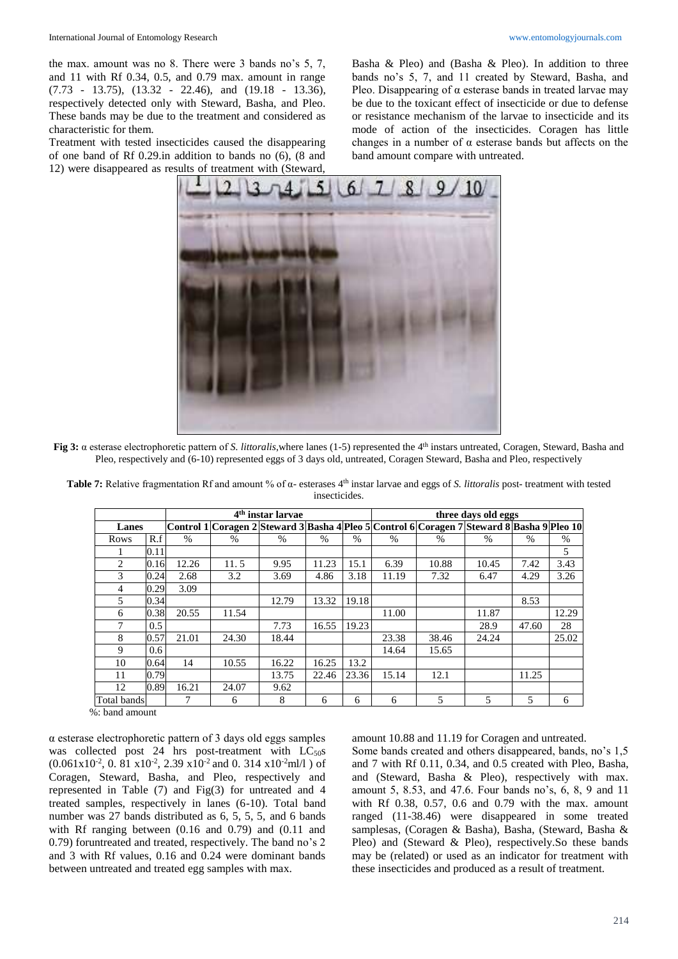the max. amount was no 8. There were 3 bands no's 5, 7, and 11 with Rf 0.34, 0.5, and 0.79 max. amount in range (7.73 - 13.75), (13.32 - 22.46), and (19.18 - 13.36), respectively detected only with Steward, Basha, and Pleo. These bands may be due to the treatment and considered as characteristic for them.

Treatment with tested insecticides caused the disappearing of one band of Rf 0.29.in addition to bands no (6), (8 and 12) were disappeared as results of treatment with (Steward,

Basha & Pleo) and (Basha & Pleo). In addition to three bands no's 5, 7, and 11 created by Steward, Basha, and Pleo. Disappearing of  $\alpha$  esterase bands in treated larvae may be due to the toxicant effect of insecticide or due to defense or resistance mechanism of the larvae to insecticide and its mode of action of the insecticides. Coragen has little changes in a number of α esterase bands but affects on the band amount compare with untreated.



**Fig 3:** α esterase electrophoretic pattern of *S. littoralis*,where lanes (1-5) represented the 4 th instars untreated, Coragen, Steward, Basha and Pleo, respectively and (6-10) represented eggs of 3 days old, untreated, Coragen Steward, Basha and Pleo, respectively

|             |      |       |                                                                                                              | 4 <sup>th</sup> instar larvae |       |               | three days old eggs |               |               |               |       |  |
|-------------|------|-------|--------------------------------------------------------------------------------------------------------------|-------------------------------|-------|---------------|---------------------|---------------|---------------|---------------|-------|--|
| Lanes       |      |       | Control 1   Coragen 2   Steward 3   Basha 4   Pleo 5   Control 6   Coragen 7   Steward 8   Basha 9   Pleo 10 |                               |       |               |                     |               |               |               |       |  |
| Rows        | R.f  | $\%$  | $\%$                                                                                                         | $\%$                          | $\%$  | $\frac{0}{0}$ | $\%$                | $\frac{0}{0}$ | $\frac{0}{0}$ | $\frac{0}{0}$ | $\%$  |  |
|             | 0.11 |       |                                                                                                              |                               |       |               |                     |               |               |               | 5     |  |
| 2           | 0.16 | 12.26 | 11.5                                                                                                         | 9.95                          | 11.23 | 15.1          | 6.39                | 10.88         | 10.45         | 7.42          | 3.43  |  |
| 3           | 0.24 | 2.68  | 3.2                                                                                                          | 3.69                          | 4.86  | 3.18          | 11.19               | 7.32          | 6.47          | 4.29          | 3.26  |  |
| 4           | 0.29 | 3.09  |                                                                                                              |                               |       |               |                     |               |               |               |       |  |
| 5           | 0.34 |       |                                                                                                              | 12.79                         | 13.32 | 19.18         |                     |               |               | 8.53          |       |  |
| 6           | 0.38 | 20.55 | 11.54                                                                                                        |                               |       |               | 11.00               |               | 11.87         |               | 12.29 |  |
|             | 0.5  |       |                                                                                                              | 7.73                          | 16.55 | 19.23         |                     |               | 28.9          | 47.60         | 28    |  |
| 8           | 0.57 | 21.01 | 24.30                                                                                                        | 18.44                         |       |               | 23.38               | 38.46         | 24.24         |               | 25.02 |  |
| 9           | 0.6  |       |                                                                                                              |                               |       |               | 14.64               | 15.65         |               |               |       |  |
| 10          | 0.64 | 14    | 10.55                                                                                                        | 16.22                         | 16.25 | 13.2          |                     |               |               |               |       |  |
| 11          | 0.79 |       |                                                                                                              | 13.75                         | 22.46 | 23.36         | 15.14               | 12.1          |               | 11.25         |       |  |
| 12          | 0.89 | 16.21 | 24.07                                                                                                        | 9.62                          |       |               |                     |               |               |               |       |  |
| Total bands |      |       | 6                                                                                                            | 8                             | 6     | 6             | 6                   | 5             | 5             | 5             | 6     |  |

**Table 7:** Relative fragmentation Rf and amount % of α- esterases 4th instar larvae and eggs of *S. littoralis* post- treatment with tested insecticides.

%: band amount

α esterase electrophoretic pattern of 3 days old eggs samples was collected post 24 hrs post-treatment with  $LC_{50}$ s  $(0.061 \times 10^{-2}, 0.81 \times 10^{-2}, 2.39 \times 10^{-2} \text{ and } 0.314 \times 10^{-2} \text{m}$ l/l) of Coragen, Steward, Basha, and Pleo, respectively and represented in Table (7) and Fig(3) for untreated and 4 treated samples, respectively in lanes (6-10). Total band number was 27 bands distributed as 6, 5, 5, 5, and 6 bands with Rf ranging between (0.16 and 0.79) and (0.11 and 0.79) foruntreated and treated, respectively. The band no's 2 and 3 with Rf values, 0.16 and 0.24 were dominant bands between untreated and treated egg samples with max.

amount 10.88 and 11.19 for Coragen and untreated. Some bands created and others disappeared, bands, no's 1,5 and 7 with Rf 0.11, 0.34, and 0.5 created with Pleo, Basha, and (Steward, Basha & Pleo), respectively with max. amount 5, 8.53, and 47.6. Four bands no's, 6, 8, 9 and 11 with Rf 0.38, 0.57, 0.6 and 0.79 with the max. amount ranged (11-38.46) were disappeared in some treated samplesas, (Coragen & Basha), Basha, (Steward, Basha & Pleo) and (Steward & Pleo), respectively.So these bands may be (related) or used as an indicator for treatment with these insecticides and produced as a result of treatment.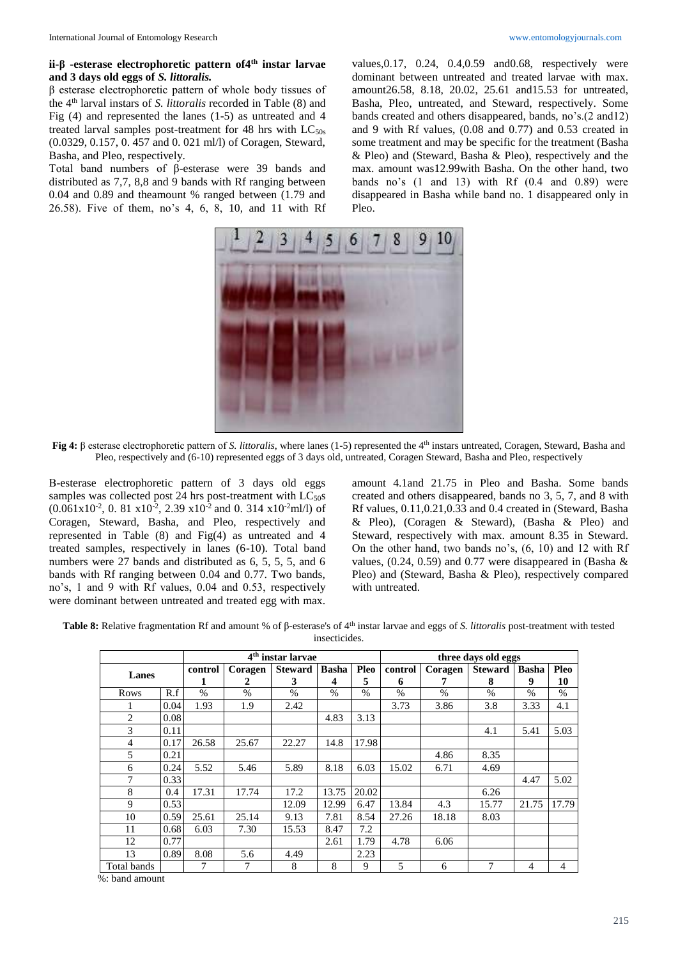#### **ii-β -esterase electrophoretic pattern of4th instar larvae and 3 days old eggs of** *S. littoralis.*

β esterase electrophoretic pattern of whole body tissues of the 4th larval instars of *S. littoralis* recorded in Table (8) and Fig (4) and represented the lanes (1-5) as untreated and 4 treated larval samples post-treatment for 48 hrs with  $LC_{50s}$ (0.0329, 0.157, 0. 457 and 0. 021 ml/l) of Coragen, Steward, Basha, and Pleo, respectively.

Total band numbers of β-esterase were 39 bands and distributed as 7,7, 8,8 and 9 bands with Rf ranging between 0.04 and 0.89 and theamount % ranged between (1.79 and 26.58). Five of them, no's 4, 6, 8, 10, and 11 with Rf

values,0.17, 0.24, 0.4,0.59 and0.68, respectively were dominant between untreated and treated larvae with max. amount26.58, 8.18, 20.02, 25.61 and15.53 for untreated, Basha, Pleo, untreated, and Steward, respectively. Some bands created and others disappeared, bands, no's.(2 and12) and 9 with Rf values, (0.08 and 0.77) and 0.53 created in some treatment and may be specific for the treatment (Basha & Pleo) and (Steward, Basha & Pleo), respectively and the max. amount was12.99with Basha. On the other hand, two bands no's  $(1 \text{ and } 13)$  with Rf  $(0.4 \text{ and } 0.89)$  were disappeared in Basha while band no. 1 disappeared only in Pleo.



**Fig 4:** β esterase electrophoretic pattern of *S. littoralis*, where lanes (1-5) represented the 4th instars untreated, Coragen, Steward, Basha and Pleo, respectively and (6-10) represented eggs of 3 days old, untreated, Coragen Steward, Basha and Pleo, respectively

Β-esterase electrophoretic pattern of 3 days old eggs samples was collected post 24 hrs post-treatment with  $LC_{50}$ s  $(0.061 \times 10^{-2}, 0.81 \times 10^{-2}, 2.39 \times 10^{-2} \text{ and } 0.314 \times 10^{-2} \text{mJ/l})$  of Coragen, Steward, Basha, and Pleo, respectively and represented in Table (8) and Fig(4) as untreated and 4 treated samples, respectively in lanes (6-10). Total band numbers were 27 bands and distributed as 6, 5, 5, 5, and 6 bands with Rf ranging between 0.04 and 0.77. Two bands, no's, 1 and 9 with Rf values, 0.04 and 0.53, respectively were dominant between untreated and treated egg with max.

amount 4.1and 21.75 in Pleo and Basha. Some bands created and others disappeared, bands no 3, 5, 7, and 8 with Rf values, 0.11,0.21,0.33 and 0.4 created in (Steward, Basha & Pleo), (Coragen & Steward), (Basha & Pleo) and Steward, respectively with max. amount 8.35 in Steward. On the other hand, two bands no's, (6, 10) and 12 with Rf values,  $(0.24, 0.59)$  and  $0.77$  were disappeared in (Basha & Pleo) and (Steward, Basha & Pleo), respectively compared with untreated.

**Table 8:** Relative fragmentation Rf and amount % of β-esterase's of 4th instar larvae and eggs of *S. littoralis* post-treatment with tested insecticides.

|                |      |         |               | 4 <sup>th</sup> instar larvae |              |               | three days old eggs<br>Coragen<br><b>Steward</b><br>control<br><b>Basha</b><br>9<br>8<br>6<br>7<br>$\%$<br>$\%$<br>$\%$<br>$\frac{0}{0}$<br>3.73<br>3.86<br>3.8<br>3.33<br>5.41<br>4.1<br>8.35<br>4.86<br>15.02<br>6.71<br>4.69<br>4.47 |       |       |       |       |
|----------------|------|---------|---------------|-------------------------------|--------------|---------------|-----------------------------------------------------------------------------------------------------------------------------------------------------------------------------------------------------------------------------------------|-------|-------|-------|-------|
| Lanes          |      | control | Coragen       | <b>Steward</b>                | <b>Basha</b> | Pleo          |                                                                                                                                                                                                                                         |       |       |       | Pleo  |
|                |      | 1       | 2             | 3                             | 4            | 5             |                                                                                                                                                                                                                                         |       |       |       | 10    |
| Rows           | R.f  | $\%$    | $\frac{0}{0}$ | $\%$                          | $\%$         | $\frac{0}{0}$ |                                                                                                                                                                                                                                         |       |       |       | $\%$  |
|                | 0.04 | 1.93    | 1.9           | 2.42                          |              |               |                                                                                                                                                                                                                                         |       |       |       | 4.1   |
| 2              | 0.08 |         |               |                               | 4.83         | 3.13          |                                                                                                                                                                                                                                         |       |       |       |       |
| 3              | 0.11 |         |               |                               |              |               |                                                                                                                                                                                                                                         |       |       |       | 5.03  |
| $\overline{4}$ | 0.17 | 26.58   | 25.67         | 22.27                         | 14.8         | 17.98         |                                                                                                                                                                                                                                         |       |       |       |       |
| 5              | 0.21 |         |               |                               |              |               |                                                                                                                                                                                                                                         |       |       |       |       |
| 6              | 0.24 | 5.52    | 5.46          | 5.89                          | 8.18         | 6.03          |                                                                                                                                                                                                                                         |       |       |       |       |
| 7              | 0.33 |         |               |                               |              |               |                                                                                                                                                                                                                                         |       |       |       | 5.02  |
| 8              | 0.4  | 17.31   | 17.74         | 17.2                          | 13.75        | 20.02         |                                                                                                                                                                                                                                         |       | 6.26  |       |       |
| 9              | 0.53 |         |               | 12.09                         | 12.99        | 6.47          | 13.84                                                                                                                                                                                                                                   | 4.3   | 15.77 | 21.75 | 17.79 |
| 10             | 0.59 | 25.61   | 25.14         | 9.13                          | 7.81         | 8.54          | 27.26                                                                                                                                                                                                                                   | 18.18 | 8.03  |       |       |
| 11             | 0.68 | 6.03    | 7.30          | 15.53                         | 8.47         | 7.2           |                                                                                                                                                                                                                                         |       |       |       |       |
| 12             | 0.77 |         |               |                               | 2.61         | 1.79          | 4.78                                                                                                                                                                                                                                    | 6.06  |       |       |       |
| 13             | 0.89 | 8.08    | 5.6           | 4.49                          |              | 2.23          |                                                                                                                                                                                                                                         |       |       |       |       |
| Total bands    |      | 7       | 7             | 8                             | 8            | 9             | 5                                                                                                                                                                                                                                       | 6     | 7     | 4     | 4     |

%: band amount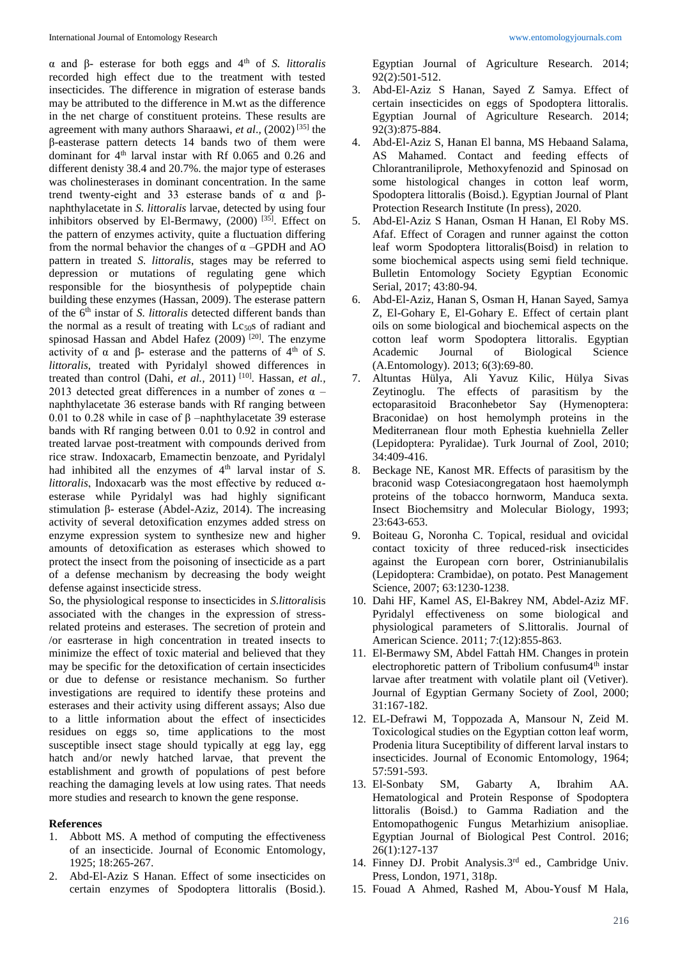α and β- esterase for both eggs and 4th of *S. littoralis*  recorded high effect due to the treatment with tested insecticides. The difference in migration of esterase bands may be attributed to the difference in M.wt as the difference in the net charge of constituent proteins. These results are agreement with many authors Sharaawi, *et al*.*,* (2002) [35] the β-easterase pattern detects 14 bands two of them were dominant for 4<sup>th</sup> larval instar with Rf 0.065 and 0.26 and different denisty 38.4 and 20.7%. the major type of esterases was cholinesterases in dominant concentration. In the same trend twenty-eight and 33 esterase bands of  $\alpha$  and βnaphthylacetate in *S. littoralis* larvae, detected by using four inhibitors observed by El-Bermawy, (2000) [35]. Effect on the pattern of enzymes activity, quite a fluctuation differing from the normal behavior the changes of  $\alpha$  –GPDH and AO pattern in treated *S. littoralis*, stages may be referred to depression or mutations of regulating gene which responsible for the biosynthesis of polypeptide chain building these enzymes (Hassan, 2009). The esterase pattern of the 6<sup>th</sup> instar of *S. littoralis* detected different bands than the normal as a result of treating with  $Lc_{50}$ s of radiant and spinosad Hassan and Abdel Hafez (2009) <sup>[20]</sup>. The enzyme activity of  $\alpha$  and  $\beta$ - esterase and the patterns of  $4<sup>th</sup>$  of *S*. *littoralis*, treated with Pyridalyl showed differences in treated than control (Dahi, *et al.*, 2011)<sup>[10]</sup>. Hassan, *et al.*, 2013 detected great differences in a number of zones  $\alpha$  – naphthylacetate 36 esterase bands with Rf ranging between 0.01 to 0.28 while in case of β –naphthylacetate 39 esterase bands with Rf ranging between 0.01 to 0.92 in control and treated larvae post-treatment with compounds derived from rice straw. Indoxacarb, Emamectin benzoate, and Pyridalyl had inhibited all the enzymes of  $4<sup>th</sup>$  larval instar of *S*. *littoralis*, Indoxacarb was the most effective by reduced αesterase while Pyridalyl was had highly significant stimulation β- esterase (Abdel-Aziz, 2014). The increasing activity of several detoxification enzymes added stress on enzyme expression system to synthesize new and higher amounts of detoxification as esterases which showed to protect the insect from the poisoning of insecticide as a part of a defense mechanism by decreasing the body weight defense against insecticide stress.

So, the physiological response to insecticides in *S.littoralis*is associated with the changes in the expression of stressrelated proteins and esterases. The secretion of protein and /or easrterase in high concentration in treated insects to minimize the effect of toxic material and believed that they may be specific for the detoxification of certain insecticides or due to defense or resistance mechanism. So further investigations are required to identify these proteins and esterases and their activity using different assays; Also due to a little information about the effect of insecticides residues on eggs so, time applications to the most susceptible insect stage should typically at egg lay, egg hatch and/or newly hatched larvae, that prevent the establishment and growth of populations of pest before reaching the damaging levels at low using rates. That needs more studies and research to known the gene response.

#### **References**

- 1. Abbott MS. A method of computing the effectiveness of an insecticide. Journal of Economic Entomology, 1925; 18:265-267.
- 2. Abd-El-Aziz S Hanan. Effect of some insecticides on certain enzymes of Spodoptera littoralis (Bosid.).

Egyptian Journal of Agriculture Research. 2014; 92(2):501-512.

- 3. Abd-El-Aziz S Hanan, Sayed Z Samya. Effect of certain insecticides on eggs of Spodoptera littoralis. Egyptian Journal of Agriculture Research. 2014; 92(3):875-884.
- 4. Abd-El-Aziz S, Hanan El banna, MS Hebaand Salama, AS Mahamed. Contact and feeding effects of Chlorantraniliprole, Methoxyfenozid and Spinosad on some histological changes in cotton leaf worm, Spodoptera littoralis (Boisd.). Egyptian Journal of Plant Protection Research Institute (In press), 2020.
- 5. Abd-El-Aziz S Hanan, Osman H Hanan, El Roby MS. Afaf. Effect of Coragen and runner against the cotton leaf worm Spodoptera littoralis(Boisd) in relation to some biochemical aspects using semi field technique. Bulletin Entomology Society Egyptian Economic Serial, 2017; 43:80-94.
- 6. Abd-El-Aziz, Hanan S, Osman H, Hanan Sayed, Samya Z, El-Gohary E, El-Gohary E. Effect of certain plant oils on some biological and biochemical aspects on the cotton leaf worm Spodoptera littoralis. Egyptian Academic Journal of Biological Science (A.Entomology). 2013; 6(3):69-80.
- 7. Altuntas Hülya, Ali Yavuz Kilic, Hülya Sivas Zeytinoglu. The effects of parasitism by the ectoparasitoid Braconhebetor Say (Hymenoptera: Braconidae) on host hemolymph proteins in the Mediterranean flour moth Ephestia kuehniella Zeller (Lepidoptera: Pyralidae). Turk Journal of Zool, 2010; 34:409-416.
- 8. Beckage NE, Kanost MR. Effects of parasitism by the braconid wasp Cotesiacongregataon host haemolymph proteins of the tobacco hornworm, Manduca sexta. Insect Biochemsitry and Molecular Biology, 1993; 23:643-653.
- 9. Boiteau G, Noronha C. Topical, residual and ovicidal contact toxicity of three reduced-risk insecticides against the European corn borer, Ostrinianubilalis (Lepidoptera: Crambidae), on potato. Pest Management Science, 2007; 63:1230-1238.
- 10. Dahi HF, Kamel AS, El-Bakrey NM, Abdel-Aziz MF. Pyridalyl effectiveness on some biological and physiological parameters of S.littoralis. Journal of American Science. 2011; 7:(12):855-863.
- 11. El-Bermawy SM, Abdel Fattah HM. Changes in protein electrophoretic pattern of Tribolium confusum4<sup>th</sup> instar larvae after treatment with volatile plant oil (Vetiver). Journal of Egyptian Germany Society of Zool, 2000; 31:167-182.
- 12. EL-Defrawi M, Toppozada A, Mansour N, Zeid M. Toxicological studies on the Egyptian cotton leaf worm, Prodenia litura Suceptibility of different larval instars to insecticides. Journal of Economic Entomology, 1964; 57:591-593.
- 13. El-Sonbaty SM, Gabarty A, Ibrahim AA. Hematological and Protein Response of Spodoptera littoralis (Boisd.) to Gamma Radiation and the Entomopathogenic Fungus Metarhizium anisopliae. Egyptian Journal of Biological Pest Control. 2016; 26(1):127-137
- 14. Finney DJ. Probit Analysis.3rd ed., Cambridge Univ. Press, London, 1971, 318p.
- 15. Fouad A Ahmed, Rashed M, Abou-Yousf M Hala,